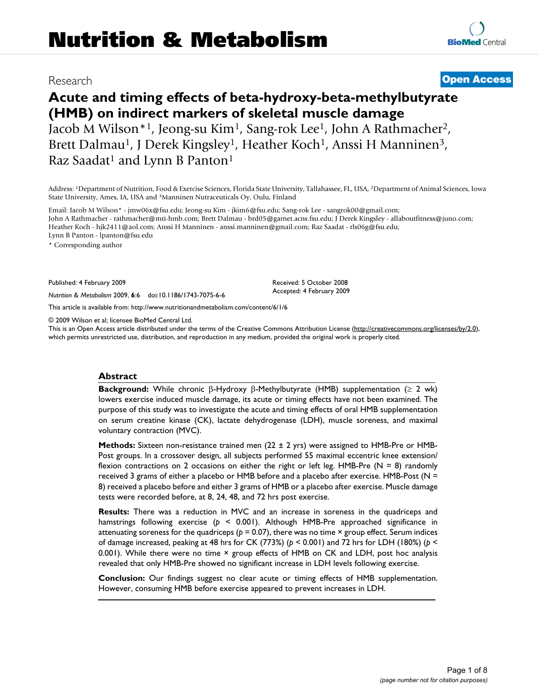# Research **[Open Access](http://www.biomedcentral.com/info/about/charter/)**

**[BioMed](http://www.biomedcentral.com/)** Central

# **Acute and timing effects of beta-hydroxy-beta-methylbutyrate (HMB) on indirect markers of skeletal muscle damage** Jacob M Wilson\*1, Jeong-su Kim1, Sang-rok Lee1, John A Rathmacher2,

Brett Dalmau<sup>1</sup>, J Derek Kingsley<sup>1</sup>, Heather Koch<sup>1</sup>, Anssi H Manninen<sup>3</sup>, Raz Saadat<sup>1</sup> and Lynn B Panton<sup>1</sup>

Address: 1Department of Nutrition, Food & Exercise Sciences, Florida State University, Tallahassee, FL, USA, 2Department of Animal Sciences, Iowa State University, Ames, IA, USA and 3Manninen Nutraceuticals Oy, Oulu, Finland

Email: Jacob M Wilson\* - jmw06x@fsu.edu; Jeong-su Kim - jkim6@fsu.edu; Sang-rok Lee - sangrok00@gmail.com; John A Rathmacher - rathmacher@mti-hmb.com; Brett Dalmau - brd05@garnet.acns.fsu.edu; J Derek Kingsley - allaboutfitness@juno.com; Heather Koch - hjk2411@aol.com; Anssi H Manninen - anssi.manninen@gmail.com; Raz Saadat - rls06g@fsu.edu; Lynn B Panton - lpanton@fsu.edu

\* Corresponding author

Published: 4 February 2009

*Nutrition & Metabolism* 2009, **6**:6 doi:10.1186/1743-7075-6-6

[This article is available from: http://www.nutritionandmetabolism.com/content/6/1/6](http://www.nutritionandmetabolism.com/content/6/1/6)

© 2009 Wilson et al; licensee BioMed Central Ltd.

This is an Open Access article distributed under the terms of the Creative Commons Attribution License [\(http://creativecommons.org/licenses/by/2.0\)](http://creativecommons.org/licenses/by/2.0), which permits unrestricted use, distribution, and reproduction in any medium, provided the original work is properly cited.

Received: 5 October 2008 Accepted: 4 February 2009

## **Abstract**

**Background:** While chronic β-Hydroxy β-Methylbutyrate (HMB) supplementation (≥ 2 wk) lowers exercise induced muscle damage, its acute or timing effects have not been examined. The purpose of this study was to investigate the acute and timing effects of oral HMB supplementation on serum creatine kinase (CK), lactate dehydrogenase (LDH), muscle soreness, and maximal voluntary contraction (MVC).

**Methods:** Sixteen non-resistance trained men (22 ± 2 yrs) were assigned to HMB-Pre or HMB-Post groups. In a crossover design, all subjects performed 55 maximal eccentric knee extension/ flexion contractions on 2 occasions on either the right or left leg. HMB-Pre ( $N = 8$ ) randomly received 3 grams of either a placebo or HMB before and a placebo after exercise. HMB-Post (N = 8) received a placebo before and either 3 grams of HMB or a placebo after exercise. Muscle damage tests were recorded before, at 8, 24, 48, and 72 hrs post exercise.

**Results:** There was a reduction in MVC and an increase in soreness in the quadriceps and hamstrings following exercise (*p* < 0.001). Although HMB-Pre approached significance in attenuating soreness for the quadriceps ( $p = 0.07$ ), there was no time  $\times$  group effect. Serum indices of damage increased, peaking at 48 hrs for CK (773%) (*p* < 0.001) and 72 hrs for LDH (180%) (*p* < 0.001). While there were no time × group effects of HMB on CK and LDH, post hoc analysis revealed that only HMB-Pre showed no significant increase in LDH levels following exercise.

**Conclusion:** Our findings suggest no clear acute or timing effects of HMB supplementation. However, consuming HMB before exercise appeared to prevent increases in LDH.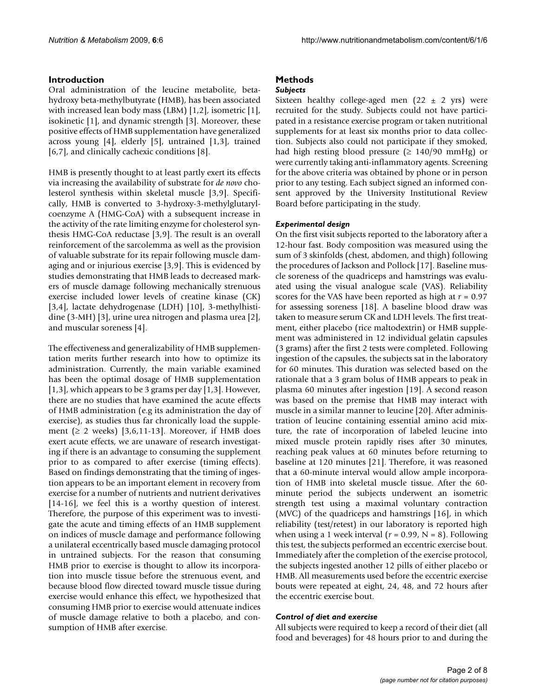# **Introduction**

Oral administration of the leucine metabolite, betahydroxy beta-methylbutyrate (HMB), has been associated with increased lean body mass (LBM) [1,2], isometric [1], isokinetic [1], and dynamic strength [3]. Moreover, these positive effects of HMB supplementation have generalized across young [4], elderly [5], untrained [1,3], trained [6,7], and clinically cachexic conditions [8].

HMB is presently thought to at least partly exert its effects via increasing the availability of substrate for *de novo* cholesterol synthesis within skeletal muscle [3,9]. Specifically, HMB is converted to 3-hydroxy-3-methylglutarylcoenzyme A (HMG-CoA) with a subsequent increase in the activity of the rate limiting enzyme for cholesterol synthesis HMG-CoA reductase [3,9]. The result is an overall reinforcement of the sarcolemma as well as the provision of valuable substrate for its repair following muscle damaging and or injurious exercise [3,9]. This is evidenced by studies demonstrating that HMB leads to decreased markers of muscle damage following mechanically strenuous exercise included lower levels of creatine kinase (CK) [3,4], lactate dehydrogenase (LDH) [10], 3-methylhistidine (3-MH) [3], urine urea nitrogen and plasma urea [2], and muscular soreness [4].

The effectiveness and generalizability of HMB supplementation merits further research into how to optimize its administration. Currently, the main variable examined has been the optimal dosage of HMB supplementation [1,3], which appears to be 3 grams per day [1,3]. However, there are no studies that have examined the acute effects of HMB administration (e.g its administration the day of exercise), as studies thus far chronically load the supplement ( $\geq 2$  weeks) [3,6,11-13]. Moreover, if HMB does exert acute effects, we are unaware of research investigating if there is an advantage to consuming the supplement prior to as compared to after exercise (timing effects). Based on findings demonstrating that the timing of ingestion appears to be an important element in recovery from exercise for a number of nutrients and nutrient derivatives [14-16], we feel this is a worthy question of interest. Therefore, the purpose of this experiment was to investigate the acute and timing effects of an HMB supplement on indices of muscle damage and performance following a unilateral eccentrically based muscle damaging protocol in untrained subjects. For the reason that consuming HMB prior to exercise is thought to allow its incorporation into muscle tissue before the strenuous event, and because blood flow directed toward muscle tissue during exercise would enhance this effect, we hypothesized that consuming HMB prior to exercise would attenuate indices of muscle damage relative to both a placebo, and consumption of HMB after exercise.

# **Methods**

## *Subjects*

Sixteen healthy college-aged men  $(22 \pm 2 \text{ yrs})$  were recruited for the study. Subjects could not have participated in a resistance exercise program or taken nutritional supplements for at least six months prior to data collection. Subjects also could not participate if they smoked, had high resting blood pressure  $(≥ 140/90$  mmHg) or were currently taking anti-inflammatory agents. Screening for the above criteria was obtained by phone or in person prior to any testing. Each subject signed an informed consent approved by the University Institutional Review Board before participating in the study.

# *Experimental design*

On the first visit subjects reported to the laboratory after a 12-hour fast. Body composition was measured using the sum of 3 skinfolds (chest, abdomen, and thigh) following the procedures of Jackson and Pollock [17]. Baseline muscle soreness of the quadriceps and hamstrings was evaluated using the visual analogue scale (VAS). Reliability scores for the VAS have been reported as high at *r* = 0.97 for assessing soreness [18]. A baseline blood draw was taken to measure serum CK and LDH levels. The first treatment, either placebo (rice maltodextrin) or HMB supplement was administered in 12 individual gelatin capsules (3 grams) after the first 2 tests were completed. Following ingestion of the capsules, the subjects sat in the laboratory for 60 minutes. This duration was selected based on the rationale that a 3 gram bolus of HMB appears to peak in plasma 60 minutes after ingestion [19]. A second reason was based on the premise that HMB may interact with muscle in a similar manner to leucine [20]. After administration of leucine containing essential amino acid mixture, the rate of incorporation of labeled leucine into mixed muscle protein rapidly rises after 30 minutes, reaching peak values at 60 minutes before returning to baseline at 120 minutes [21]. Therefore, it was reasoned that a 60-minute interval would allow ample incorporation of HMB into skeletal muscle tissue. After the 60 minute period the subjects underwent an isometric strength test using a maximal voluntary contraction (MVC) of the quadriceps and hamstrings [16], in which reliability (test/retest) in our laboratory is reported high when using a 1 week interval ( $r = 0.99$ ,  $N = 8$ ). Following this test, the subjects performed an eccentric exercise bout. Immediately after the completion of the exercise protocol, the subjects ingested another 12 pills of either placebo or HMB. All measurements used before the eccentric exercise bouts were repeated at eight, 24, 48, and 72 hours after the eccentric exercise bout.

# *Control of diet and exercise*

All subjects were required to keep a record of their diet (all food and beverages) for 48 hours prior to and during the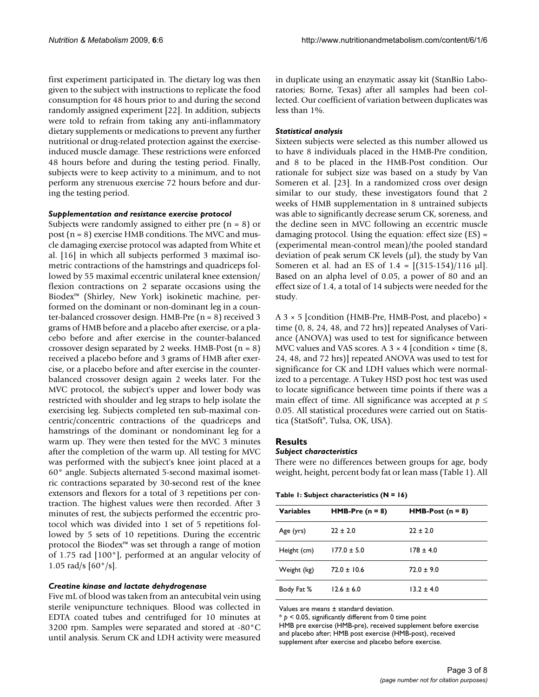first experiment participated in. The dietary log was then given to the subject with instructions to replicate the food consumption for 48 hours prior to and during the second randomly assigned experiment [22]. In addition, subjects were told to refrain from taking any anti-inflammatory dietary supplements or medications to prevent any further nutritional or drug-related protection against the exerciseinduced muscle damage. These restrictions were enforced 48 hours before and during the testing period. Finally, subjects were to keep activity to a minimum, and to not perform any strenuous exercise 72 hours before and during the testing period.

#### *Supplementation and resistance exercise protocol*

Subjects were randomly assigned to either pre  $(n = 8)$  or post  $(n = 8)$  exercise HMB conditions. The MVC and muscle damaging exercise protocol was adapted from White et al. [16] in which all subjects performed 3 maximal isometric contractions of the hamstrings and quadriceps followed by 55 maximal eccentric unilateral knee extension/ flexion contractions on 2 separate occasions using the Biodex™ (Shirley, New York) isokinetic machine, performed on the dominant or non-dominant leg in a counter-balanced crossover design. HMB-Pre (n = 8) received 3 grams of HMB before and a placebo after exercise, or a placebo before and after exercise in the counter-balanced crossover design separated by 2 weeks. HMB-Post  $(n = 8)$ received a placebo before and 3 grams of HMB after exercise, or a placebo before and after exercise in the counterbalanced crossover design again 2 weeks later. For the MVC protocol, the subject's upper and lower body was restricted with shoulder and leg straps to help isolate the exercising leg. Subjects completed ten sub-maximal concentric/concentric contractions of the quadriceps and hamstrings of the dominant or nondominant leg for a warm up. They were then tested for the MVC 3 minutes after the completion of the warm up. All testing for MVC was performed with the subject's knee joint placed at a 60° angle. Subjects alternated 5-second maximal isometric contractions separated by 30-second rest of the knee extensors and flexors for a total of 3 repetitions per contraction. The highest values were then recorded. After 3 minutes of rest, the subjects performed the eccentric protocol which was divided into 1 set of 5 repetitions followed by 5 sets of 10 repetitions. During the eccentric protocol the Biodex™ was set through a range of motion of 1.75 rad [100°], performed at an angular velocity of 1.05 rad/s  $[60^{\circ}/s]$ .

#### *Creatine kinase and lactate dehydrogenase*

Five mL of blood was taken from an antecubital vein using sterile venipuncture techniques. Blood was collected in EDTA coated tubes and centrifuged for 10 minutes at 3200 rpm. Samples were separated and stored at -80°C until analysis. Serum CK and LDH activity were measured in duplicate using an enzymatic assay kit (StanBio Laboratories; Borne, Texas) after all samples had been collected. Our coefficient of variation between duplicates was less than 1%.

# *Statistical analysis*

Sixteen subjects were selected as this number allowed us to have 8 individuals placed in the HMB-Pre condition, and 8 to be placed in the HMB-Post condition. Our rationale for subject size was based on a study by Van Someren et al. [23]. In a randomized cross over design similar to our study, these investigators found that 2 weeks of HMB supplementation in 8 untrained subjects was able to significantly decrease serum CK, soreness, and the decline seen in MVC following an eccentric muscle damaging protocol. Using the equation: effect size (ES) = (experimental mean-control mean)/the pooled standard deviation of peak serum CK levels (μl), the study by Van Someren et al. had an ES of  $1.4 = [(315-154)/116 \text{ µ}]$ . Based on an alpha level of 0.05, a power of 80 and an effect size of 1.4, a total of 14 subjects were needed for the study.

A 3 × 5 [condition (HMB-Pre, HMB-Post, and placebo) × time (0, 8, 24, 48, and 72 hrs)] repeated Analyses of Variance (ANOVA) was used to test for significance between MVC values and VAS scores. A  $3 \times 4$  [condition  $\times$  time (8, 24, 48, and 72 hrs)] repeated ANOVA was used to test for significance for CK and LDH values which were normalized to a percentage. A Tukey HSD post hoc test was used to locate significance between time points if there was a main effect of time. All significance was accepted at *p* ≤ 0.05. All statistical procedures were carried out on Statistica (StatSoft®, Tulsa, OK, USA).

# **Results**

# *Subject characteristics*

There were no differences between groups for age, body weight, height, percent body fat or lean mass (Table 1). All

|  |  | Table I: Subject characteristics (N = 16) |  |  |
|--|--|-------------------------------------------|--|--|
|--|--|-------------------------------------------|--|--|

| <b>Variables</b> | $HMB-Pre (n = 8)$ | $HMB-Post (n = 8)$ |
|------------------|-------------------|--------------------|
| Age (yrs)        | $22 \pm 2.0$      | $22 \pm 2.0$       |
| Height (cm)      | $177.0 \pm 5.0$   | $178 + 4.0$        |
| Weight (kg)      | $72.0 + 10.6$     | $72.0 + 9.0$       |
| Body Fat %       | $12.6 \pm 6.0$    | $13.2 \pm 4.0$     |

Values are means ± standard deviation.

 $* p < 0.05$ , significantly different from 0 time point HMB pre exercise (HMB-pre), received supplement before exercise and placebo after; HMB post exercise (HMB-post), received supplement after exercise and placebo before exercise.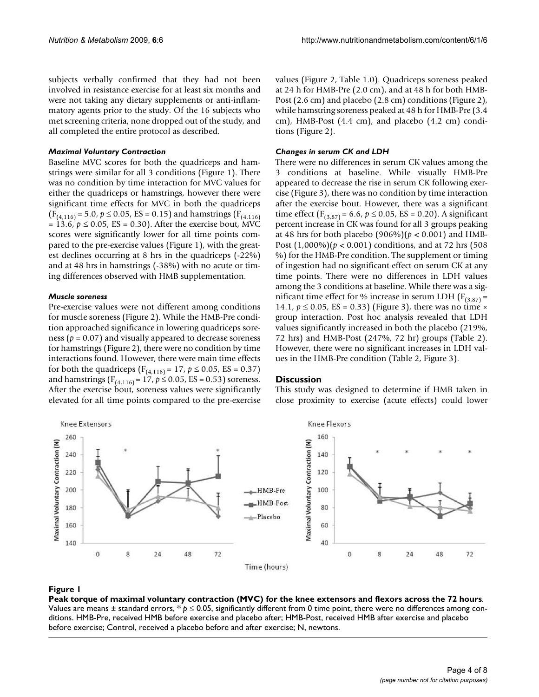subjects verbally confirmed that they had not been involved in resistance exercise for at least six months and were not taking any dietary supplements or anti-inflammatory agents prior to the study. Of the 16 subjects who met screening criteria, none dropped out of the study, and all completed the entire protocol as described.

#### *Maximal Voluntary Contraction*

Baseline MVC scores for both the quadriceps and hamstrings were similar for all 3 conditions (Figure 1). There was no condition by time interaction for MVC values for either the quadriceps or hamstrings, however there were significant time effects for MVC in both the quadriceps  $(F_{(4,116)} = 5.0, p \le 0.05, ES = 0.15)$  and hamstrings  $(F_{(4,116)}$  $= 13.6, p ≤ 0.05$ , ES = 0.30). After the exercise bout, MVC scores were significantly lower for all time points compared to the pre-exercise values (Figure 1), with the greatest declines occurring at 8 hrs in the quadriceps (-22%) and at 48 hrs in hamstrings (-38%) with no acute or timing differences observed with HMB supplementation.

# *Muscle soreness*

Pre-exercise values were not different among conditions for muscle soreness (Figure 2). While the HMB-Pre condition approached significance in lowering quadriceps soreness ( $p = 0.07$ ) and visually appeared to decrease soreness for hamstrings (Figure 2), there were no condition by time interactions found. However, there were main time effects for both the quadriceps ( $F_{(4,116)} = 17$ ,  $p \le 0.05$ , ES = 0.37) and hamstrings ( $F_{(4,116)} = 17$ ,  $p \le 0.05$ , ES = 0.53) soreness. After the exercise bout, soreness values were significantly elevated for all time points compared to the pre-exercise

values (Figure 2, Table 1.0). Quadriceps soreness peaked at 24 h for HMB-Pre (2.0 cm), and at 48 h for both HMB-Post (2.6 cm) and placebo (2.8 cm) conditions (Figure 2), while hamstring soreness peaked at 48 h for HMB-Pre (3.4 cm), HMB-Post (4.4 cm), and placebo (4.2 cm) conditions (Figure 2).

#### *Changes in serum CK and LDH*

There were no differences in serum CK values among the 3 conditions at baseline. While visually HMB-Pre appeared to decrease the rise in serum CK following exercise (Figure 3), there was no condition by time interaction after the exercise bout. However, there was a significant time effect  $(F_{(3,87)} = 6.6, p \le 0.05, ES = 0.20)$ . A significant percent increase in CK was found for all 3 groups peaking at 48 hrs for both placebo (906%)(*p* < 0.001) and HMB-Post (1,000%)(*p* < 0.001) conditions, and at 72 hrs (508 %) for the HMB-Pre condition. The supplement or timing of ingestion had no significant effect on serum CK at any time points. There were no differences in LDH values among the 3 conditions at baseline. While there was a significant time effect for % increase in serum LDH ( $F_{(3,87)}$  = 14.1,  $p \le 0.05$ , ES = 0.33) (Figure 3), there was no time  $\times$ group interaction. Post hoc analysis revealed that LDH values significantly increased in both the placebo (219%, 72 hrs) and HMB-Post (247%, 72 hr) groups (Table 2). However, there were no significant increases in LDH values in the HMB-Pre condition (Table 2, Figure 3).

#### **Discussion**

This study was designed to determine if HMB taken in close proximity to exercise (acute effects) could lower



# Peak torque of maximal voluntary contraction (MVC) **Figure 1** for the knee extensors and flexors across the 72 hours

**Peak torque of maximal voluntary contraction (MVC) for the knee extensors and flexors across the 72 hours**. Values are means ± standard errors, \* *p* ≤ 0.05, significantly different from 0 time point, there were no differences among conditions. HMB-Pre, received HMB before exercise and placebo after; HMB-Post, received HMB after exercise and placebo before exercise; Control, received a placebo before and after exercise; N, newtons.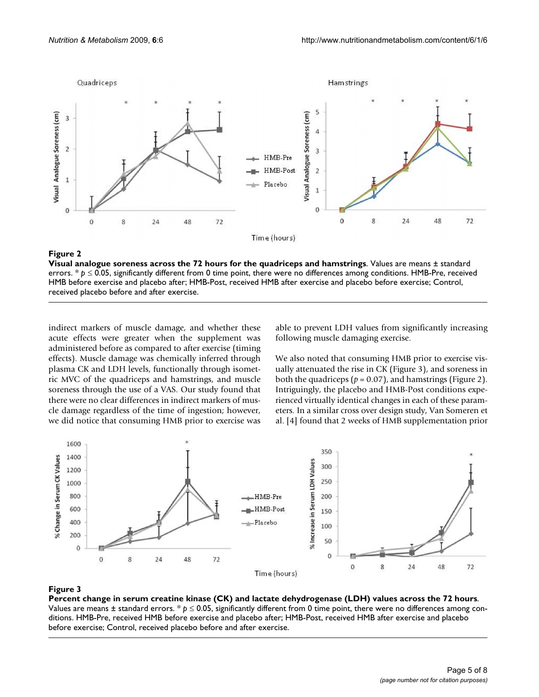

#### Visual analogue soreness across the **Figure 2** 72 hours for the quadriceps and hamstrings

**Visual analogue soreness across the 72 hours for the quadriceps and hamstrings**. Values are means ± standard errors. \* *p* ≤ 0.05, significantly different from 0 time point, there were no differences among conditions. HMB-Pre, received HMB before exercise and placebo after; HMB-Post, received HMB after exercise and placebo before exercise; Control, received placebo before and after exercise.

indirect markers of muscle damage, and whether these acute effects were greater when the supplement was administered before as compared to after exercise (timing effects). Muscle damage was chemically inferred through plasma CK and LDH levels, functionally through isometric MVC of the quadriceps and hamstrings, and muscle soreness through the use of a VAS. Our study found that there were no clear differences in indirect markers of muscle damage regardless of the time of ingestion; however, we did notice that consuming HMB prior to exercise was able to prevent LDH values from significantly increasing following muscle damaging exercise.

We also noted that consuming HMB prior to exercise visually attenuated the rise in CK (Figure 3), and soreness in both the quadriceps ( $p = 0.07$ ), and hamstrings (Figure 2). Intriguingly, the placebo and HMB-Post conditions experienced virtually identical changes in each of these parameters. In a similar cross over design study, Van Someren et al. [4] found that 2 weeks of HMB supplementation prior



# Percent change in serum creatine kinase (CK) and la **Figure 3** ctate dehydrogenase (LDH) values across the 72 hours

**Percent change in serum creatine kinase (CK) and lactate dehydrogenase (LDH) values across the 72 hours**. Values are means ± standard errors. \* *p* ≤ 0.05, significantly different from 0 time point, there were no differences among conditions. HMB-Pre, received HMB before exercise and placebo after; HMB-Post, received HMB after exercise and placebo before exercise; Control, received placebo before and after exercise.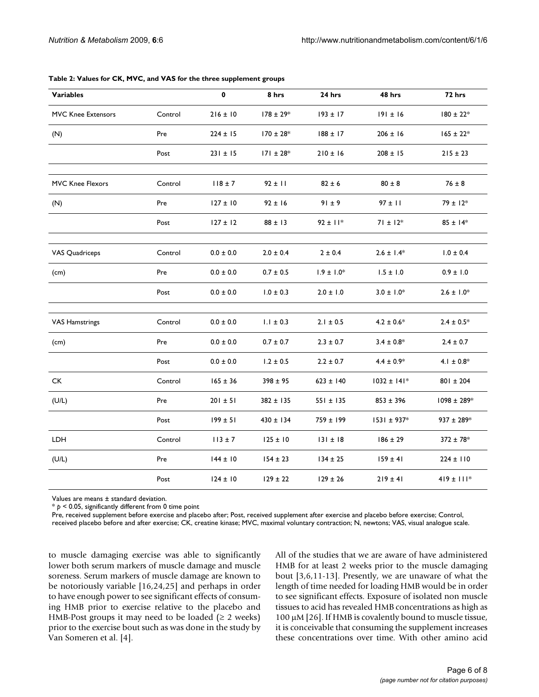| <b>Variables</b>      |         | $\mathbf{0}$  | 8 hrs          | 24 hrs         | 48 hrs          | 72 hrs          |
|-----------------------|---------|---------------|----------------|----------------|-----------------|-----------------|
| MVC Knee Extensors    | Control | $216 \pm 10$  | $178 \pm 29*$  | $193 \pm 17$   | $191 \pm 16$    | $180 \pm 22*$   |
| (N)                   | Pre     | $224 \pm 15$  | $170 \pm 28$ * | $188 \pm 17$   | $206 \pm 16$    | $165 \pm 22*$   |
|                       | Post    | $231 \pm 15$  | $171 \pm 28$ * | $210 \pm 16$   | $208 \pm 15$    | $215 \pm 23$    |
| MVC Knee Flexors      | Control | $118 \pm 7$   | $92 \pm 11$    | $82 \pm 6$     | $80 \pm 8$      | $76 \pm 8$      |
| (N)                   | Pre     | $127 \pm 10$  | $92 \pm 16$    | $91 \pm 9$     | $97 \pm 11$     | $79 \pm 12*$    |
|                       | Post    | $127 \pm 12$  | $88 \pm 13$    | $92 \pm 11*$   | $71 \pm 12*$    | $85 \pm 14*$    |
| <b>VAS Quadriceps</b> | Control | $0.0 \pm 0.0$ | $2.0 \pm 0.4$  | $2 \pm 0.4$    | $2.6 \pm 1.4*$  | $1.0 \pm 0.4$   |
| (cm)                  | Pre     | $0.0 \pm 0.0$ | $0.7 \pm 0.5$  | $1.9 \pm 1.0*$ | $1.5 \pm 1.0$   | $0.9 \pm 1.0$   |
|                       | Post    | $0.0 \pm 0.0$ | $1.0 \pm 0.3$  | $2.0 \pm 1.0$  | $3.0 \pm 1.0*$  | $2.6 \pm 1.0*$  |
| <b>VAS Hamstrings</b> | Control | $0.0 \pm 0.0$ | $1.1 \pm 0.3$  | $2.1 \pm 0.5$  | $4.2 \pm 0.6*$  | $2.4 \pm 0.5*$  |
| (cm)                  | Pre     | $0.0 \pm 0.0$ | $0.7 \pm 0.7$  | $2.3 \pm 0.7$  | $3.4 \pm 0.8^*$ | $2.4 \pm 0.7$   |
|                       | Post    | $0.0 \pm 0.0$ | $1.2 \pm 0.5$  | $2.2 \pm 0.7$  | $4.4 \pm 0.9*$  | 4.1 $\pm$ 0.8*  |
| <b>CK</b>             | Control | $165 \pm 36$  | $398 \pm 95$   | $623 \pm 140$  | $1032 \pm 141*$ | $801 \pm 204$   |
| (U/L)                 | Pre     | $201 \pm 51$  | 382 ± 135      | $551 \pm 135$  | $853 \pm 396$   | 1098 ± 289*     |
|                       | Post    | $199 \pm 51$  | $430 \pm 134$  | 759 ± 199      | $1531 \pm 937*$ | $937 \pm 289*$  |
| LDH                   | Control | $113 \pm 7$   | $125 \pm 10$   | $131 \pm 18$   | $186 \pm 29$    | $372 \pm 78$ *  |
| (U/L)                 | Pre     | $144 \pm 10$  | $154 \pm 23$   | $134 \pm 25$   | $159 \pm 41$    | $224 \pm 110$   |
|                       | Post    | $124 \pm 10$  | $129 \pm 22$   | $129 \pm 26$   | $219 \pm 41$    | $419 \pm 111$ * |

#### **Table 2: Values for CK, MVC, and VAS for the three supplement groups**

Values are means ± standard deviation.

\* *p* < 0.05, significantly different from 0 time point

Pre, received supplement before exercise and placebo after; Post, received supplement after exercise and placebo before exercise; Control,

received placebo before and after exercise; CK, creatine kinase; MVC, maximal voluntary contraction; N, newtons; VAS, visual analogue scale.

to muscle damaging exercise was able to significantly lower both serum markers of muscle damage and muscle soreness. Serum markers of muscle damage are known to be notoriously variable [16,24,25] and perhaps in order to have enough power to see significant effects of consuming HMB prior to exercise relative to the placebo and HMB-Post groups it may need to be loaded ( $\geq 2$  weeks) prior to the exercise bout such as was done in the study by Van Someren et al. [4].

All of the studies that we are aware of have administered HMB for at least 2 weeks prior to the muscle damaging bout [3,6,11-13]. Presently, we are unaware of what the length of time needed for loading HMB would be in order to see significant effects. Exposure of isolated non muscle tissues to acid has revealed HMB concentrations as high as 100 μM [26]. If HMB is covalently bound to muscle tissue, it is conceivable that consuming the supplement increases these concentrations over time. With other amino acid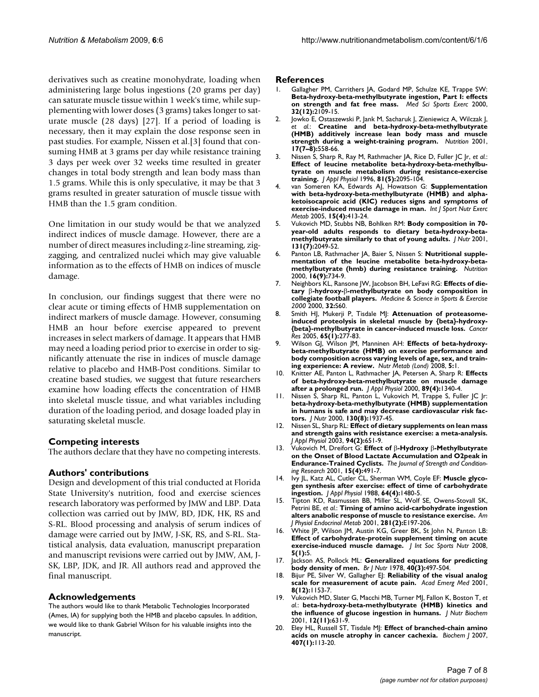derivatives such as creatine monohydrate, loading when administering large bolus ingestions (20 grams per day) can saturate muscle tissue within 1 week's time, while supplementing with lower doses (3 grams) takes longer to saturate muscle (28 days) [27]. If a period of loading is necessary, then it may explain the dose response seen in past studies. For example, Nissen et al.[3] found that consuming HMB at 3 grams per day while resistance training 3 days per week over 32 weeks time resulted in greater changes in total body strength and lean body mass than 1.5 grams. While this is only speculative, it may be that 3 grams resulted in greater saturation of muscle tissue with HMB than the 1.5 gram condition.

One limitation in our study would be that we analyzed indirect indices of muscle damage. However, there are a number of direct measures including z-line streaming, zigzagging, and centralized nuclei which may give valuable information as to the effects of HMB on indices of muscle damage.

In conclusion, our findings suggest that there were no clear acute or timing effects of HMB supplementation on indirect markers of muscle damage. However, consuming HMB an hour before exercise appeared to prevent increases in select markers of damage. It appears that HMB may need a loading period prior to exercise in order to significantly attenuate the rise in indices of muscle damage relative to placebo and HMB-Post conditions. Similar to creatine based studies, we suggest that future researchers examine how loading effects the concentration of HMB into skeletal muscle tissue, and what variables including duration of the loading period, and dosage loaded play in saturating skeletal muscle.

# **Competing interests**

The authors declare that they have no competing interests.

#### **Authors' contributions**

Design and development of this trial conducted at Florida State University's nutrition, food and exercise sciences research laboratory was performed by JMW and LBP. Data collection was carried out by JMW, BD, JDK, HK, RS and S-RL. Blood processing and analysis of serum indices of damage were carried out by JMW, J-SK, RS, and S-RL. Statistical analysis, data evaluation, manuscript preparation and manuscript revisions were carried out by JMW, AM, J-SK, LBP, JDK, and JR. All authors read and approved the final manuscript.

#### **Acknowledgements**

The authors would like to thank Metabolic Technologies Incorporated (Ames, IA) for supplying both the HMB and placebo capsules. In addition, we would like to thank Gabriel Wilson for his valuable insights into the manuscript.

#### **References**

- Gallagher PM, Carrithers JA, Godard MP, Schulze KE, Trappe SW: **[Beta-hydroxy-beta-methylbutyrate ingestion, Part I: effects](http://www.ncbi.nlm.nih.gov/entrez/query.fcgi?cmd=Retrieve&db=PubMed&dopt=Abstract&list_uids=11128859) [on strength and fat free mass.](http://www.ncbi.nlm.nih.gov/entrez/query.fcgi?cmd=Retrieve&db=PubMed&dopt=Abstract&list_uids=11128859)** *Med Sci Sports Exerc* 2000, **32(12):**2109-15.
- 2. Jowko E, Ostaszewski P, Jank M, Sacharuk J, Zieniewicz A, Wilczak J, *et al.*: **[Creatine and beta-hydroxy-beta-methylbutyrate](http://www.ncbi.nlm.nih.gov/entrez/query.fcgi?cmd=Retrieve&db=PubMed&dopt=Abstract&list_uids=11448573) [\(HMB\) additively increase lean body mass and muscle](http://www.ncbi.nlm.nih.gov/entrez/query.fcgi?cmd=Retrieve&db=PubMed&dopt=Abstract&list_uids=11448573) [strength during a weight-training program.](http://www.ncbi.nlm.nih.gov/entrez/query.fcgi?cmd=Retrieve&db=PubMed&dopt=Abstract&list_uids=11448573)** *Nutrition* 2001, **17(7–8):**558-66.
- 3. Nissen S, Sharp R, Ray M, Rathmacher JA, Rice D, Fuller JC Jr, *et al.*: **[Effect of leucine metabolite beta-hydroxy-beta-methylbu](http://www.ncbi.nlm.nih.gov/entrez/query.fcgi?cmd=Retrieve&db=PubMed&dopt=Abstract&list_uids=8941534)tyrate on muscle metabolism during resistance-exercise [training.](http://www.ncbi.nlm.nih.gov/entrez/query.fcgi?cmd=Retrieve&db=PubMed&dopt=Abstract&list_uids=8941534)** *J Appl Physiol* 1996, **81(5):**2095-104.
- 4. van Someren KA, Edwards AJ, Howatson G: **[Supplementation](http://www.ncbi.nlm.nih.gov/entrez/query.fcgi?cmd=Retrieve&db=PubMed&dopt=Abstract&list_uids=16286672) with beta-hydroxy-beta-methylbutyrate (HMB) and alpha[ketoisocaproic acid \(KIC\) reduces signs and symptoms of](http://www.ncbi.nlm.nih.gov/entrez/query.fcgi?cmd=Retrieve&db=PubMed&dopt=Abstract&list_uids=16286672) [exercise-induced muscle damage in man.](http://www.ncbi.nlm.nih.gov/entrez/query.fcgi?cmd=Retrieve&db=PubMed&dopt=Abstract&list_uids=16286672)** *Int J Sport Nutr Exerc Metab* 2005, **15(4):**413-24.
- 5. Vukovich MD, Stubbs NB, Bohlken RM: **[Body composition in 70](http://www.ncbi.nlm.nih.gov/entrez/query.fcgi?cmd=Retrieve&db=PubMed&dopt=Abstract&list_uids=11435528) [year-old adults responds to dietary beta-hydroxy-beta](http://www.ncbi.nlm.nih.gov/entrez/query.fcgi?cmd=Retrieve&db=PubMed&dopt=Abstract&list_uids=11435528)[methylbutyrate similarly to that of young adults.](http://www.ncbi.nlm.nih.gov/entrez/query.fcgi?cmd=Retrieve&db=PubMed&dopt=Abstract&list_uids=11435528)** *J Nutr* 2001, **131(7):**2049-52.
- Panton LB, Rathmacher JA, Baier S, Nissen S: **[Nutritional supple](http://www.ncbi.nlm.nih.gov/entrez/query.fcgi?cmd=Retrieve&db=PubMed&dopt=Abstract&list_uids=10978853)[mentation of the leucine metabolite beta-hydroxy-beta](http://www.ncbi.nlm.nih.gov/entrez/query.fcgi?cmd=Retrieve&db=PubMed&dopt=Abstract&list_uids=10978853)[methylbutyrate \(hmb\) during resistance training.](http://www.ncbi.nlm.nih.gov/entrez/query.fcgi?cmd=Retrieve&db=PubMed&dopt=Abstract&list_uids=10978853)** *Nutrition* 2000, **16(9):**734-9.
- 7. Neighbors KL, Ransone JW, Jacobson BH, LeFavi RG: **Effects of dietary** β**-hydroxy-**β**[-methylbutyrate on body composition in](http://www.ncbi.nlm.nih.gov/entrez/query.fcgi?cmd=Retrieve&db=PubMed&dopt=Abstract&list_uids=12580653 ) [collegiate football players.](http://www.ncbi.nlm.nih.gov/entrez/query.fcgi?cmd=Retrieve&db=PubMed&dopt=Abstract&list_uids=12580653 )** *Medicine & Science in Sports & Exercise 2000* 2000, **32:**S60.
- 8. Smith HJ, Mukerji P, Tisdale MJ: **[Attenuation of proteasome](http://www.ncbi.nlm.nih.gov/entrez/query.fcgi?cmd=Retrieve&db=PubMed&dopt=Abstract&list_uids=15665304)[induced proteolysis in skeletal muscle by {beta}-hydroxy-](http://www.ncbi.nlm.nih.gov/entrez/query.fcgi?cmd=Retrieve&db=PubMed&dopt=Abstract&list_uids=15665304) [{beta}-methylbutyrate in cancer-induced muscle loss.](http://www.ncbi.nlm.nih.gov/entrez/query.fcgi?cmd=Retrieve&db=PubMed&dopt=Abstract&list_uids=15665304)** *Cancer Res* 2005, **65(1):**277-83.
- 9. Wilson GJ, Wilson JM, Manninen AH: **[Effects of beta-hydroxy](http://www.ncbi.nlm.nih.gov/entrez/query.fcgi?cmd=Retrieve&db=PubMed&dopt=Abstract&list_uids=18173841)beta-methylbutyrate (HMB) on exercise performance and [body composition across varying levels of age, sex, and train](http://www.ncbi.nlm.nih.gov/entrez/query.fcgi?cmd=Retrieve&db=PubMed&dopt=Abstract&list_uids=18173841)[ing experience: A review.](http://www.ncbi.nlm.nih.gov/entrez/query.fcgi?cmd=Retrieve&db=PubMed&dopt=Abstract&list_uids=18173841)** *Nutr Metab (Lond)* 2008, **5:**1.
- 10. Knitter AE, Panton L, Rathmacher JA, Petersen A, Sharp R: **[Effects](http://www.ncbi.nlm.nih.gov/entrez/query.fcgi?cmd=Retrieve&db=PubMed&dopt=Abstract&list_uids=11007567) [of beta-hydroxy-beta-methylbutyrate on muscle damage](http://www.ncbi.nlm.nih.gov/entrez/query.fcgi?cmd=Retrieve&db=PubMed&dopt=Abstract&list_uids=11007567) [after a prolonged run.](http://www.ncbi.nlm.nih.gov/entrez/query.fcgi?cmd=Retrieve&db=PubMed&dopt=Abstract&list_uids=11007567)** *J Appl Physiol* 2000, **89(4):**1340-4.
- 11. Nissen S, Sharp RL, Panton L, Vukovich M, Trappe S, Fuller JC Jr: **[beta-hydroxy-beta-methylbutyrate \(HMB\) supplementation](http://www.ncbi.nlm.nih.gov/entrez/query.fcgi?cmd=Retrieve&db=PubMed&dopt=Abstract&list_uids=10917905) in humans is safe and may decrease cardiovascular risk fac[tors.](http://www.ncbi.nlm.nih.gov/entrez/query.fcgi?cmd=Retrieve&db=PubMed&dopt=Abstract&list_uids=10917905)** *J Nutr* 2000, **130(8):**1937-45.
- 12. Nissen SL, Sharp RL: **[Effect of dietary supplements on lean mass](http://www.ncbi.nlm.nih.gov/entrez/query.fcgi?cmd=Retrieve&db=PubMed&dopt=Abstract&list_uids=12433852) [and strength gains with resistance exercise: a meta-analysis.](http://www.ncbi.nlm.nih.gov/entrez/query.fcgi?cmd=Retrieve&db=PubMed&dopt=Abstract&list_uids=12433852)** *J Appl Physiol* 2003, **94(2):**651-9.
- 13. Vukovich M, Dreifort G: **Effect of** β**-Hydroxy** β**-Methylbutyrate on the Onset of Blood Lactate Accumulation and O2peak in Endurance-Trained Cyclists.** *The Journal of Strength and Conditioning Research* 2001, **15(4):**491-7.
- 14. Ivy JL, Katz AL, Cutler CL, Sherman WM, Coyle EF: **[Muscle glyco](http://www.ncbi.nlm.nih.gov/entrez/query.fcgi?cmd=Retrieve&db=PubMed&dopt=Abstract&list_uids=3132449)[gen synthesis after exercise: effect of time of carbohydrate](http://www.ncbi.nlm.nih.gov/entrez/query.fcgi?cmd=Retrieve&db=PubMed&dopt=Abstract&list_uids=3132449) [ingestion.](http://www.ncbi.nlm.nih.gov/entrez/query.fcgi?cmd=Retrieve&db=PubMed&dopt=Abstract&list_uids=3132449)** *J Appl Physiol* 1988, **64(4):**1480-5.
- 15. Tipton KD, Rasmussen BB, Miller SL, Wolf SE, Owens-Stovall SK, Petrini BE, *et al.*: **[Timing of amino acid-carbohydrate ingestion](http://www.ncbi.nlm.nih.gov/entrez/query.fcgi?cmd=Retrieve&db=PubMed&dopt=Abstract&list_uids=11440894) [alters anabolic response of muscle to resistance exercise.](http://www.ncbi.nlm.nih.gov/entrez/query.fcgi?cmd=Retrieve&db=PubMed&dopt=Abstract&list_uids=11440894)** *Am J Physiol Endocrinol Metab* 2001, **281(2):**E197-206.
- 16. White JP, Wilson JM, Austin KG, Greer BK, St John N, Panton LB: **[Effect of carbohydrate-protein supplement timing on acute](http://www.ncbi.nlm.nih.gov/entrez/query.fcgi?cmd=Retrieve&db=PubMed&dopt=Abstract&list_uids=18284676) [exercise-induced muscle damage.](http://www.ncbi.nlm.nih.gov/entrez/query.fcgi?cmd=Retrieve&db=PubMed&dopt=Abstract&list_uids=18284676)** *J Int Soc Sports Nutr* 2008, **5(1):**5.
- 17. Jackson AS, Pollock ML: **[Generalized equations for predicting](http://www.ncbi.nlm.nih.gov/entrez/query.fcgi?cmd=Retrieve&db=PubMed&dopt=Abstract&list_uids=718832) [body density of men.](http://www.ncbi.nlm.nih.gov/entrez/query.fcgi?cmd=Retrieve&db=PubMed&dopt=Abstract&list_uids=718832)** *Br J Nutr* 1978, **40(3):**497-504.
- 18. Bijur PE, Silver W, Gallagher EJ: **[Reliability of the visual analog](http://www.ncbi.nlm.nih.gov/entrez/query.fcgi?cmd=Retrieve&db=PubMed&dopt=Abstract&list_uids=11733293) [scale for measurement of acute pain.](http://www.ncbi.nlm.nih.gov/entrez/query.fcgi?cmd=Retrieve&db=PubMed&dopt=Abstract&list_uids=11733293)** *Acad Emerg Med* 2001, **8(12):**1153-7.
- 19. Vukovich MD, Slater G, Macchi MB, Turner MJ, Fallon K, Boston T, *et al.*: **[beta-hydroxy-beta-methylbutyrate \(HMB\) kinetics and](http://www.ncbi.nlm.nih.gov/entrez/query.fcgi?cmd=Retrieve&db=PubMed&dopt=Abstract&list_uids=12031256) [the influence of glucose ingestion in humans.](http://www.ncbi.nlm.nih.gov/entrez/query.fcgi?cmd=Retrieve&db=PubMed&dopt=Abstract&list_uids=12031256)** *J Nutr Biochem* 2001, **12(11):**631-9.
- 20. Eley HL, Russell ST, Tisdale MJ: **[Effect of branched-chain amino](http://www.ncbi.nlm.nih.gov/entrez/query.fcgi?cmd=Retrieve&db=PubMed&dopt=Abstract&list_uids=17623010) [acids on muscle atrophy in cancer cachexia.](http://www.ncbi.nlm.nih.gov/entrez/query.fcgi?cmd=Retrieve&db=PubMed&dopt=Abstract&list_uids=17623010)** *Biochem J* 2007, **407(1):**113-20.